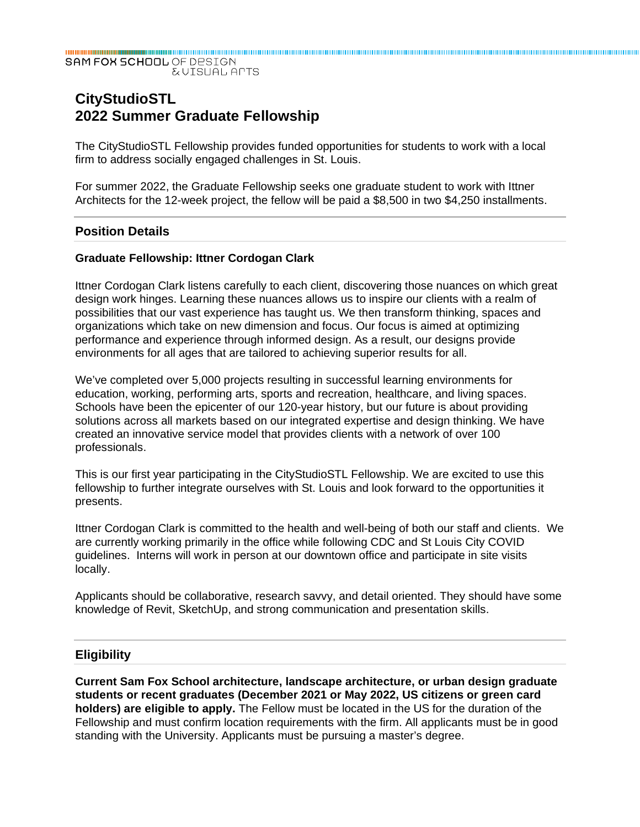#### SAM FOX SCHOOL OF DESIGN **EVISUAL APTS**

# **CityStudioSTL 2022 Summer Graduate Fellowship**

The CityStudioSTL Fellowship provides funded opportunities for students to work with a local firm to address socially engaged challenges in St. Louis.

For summer 2022, the Graduate Fellowship seeks one graduate student to work with Ittner Architects for the 12-week project, the fellow will be paid a \$8,500 in two \$4,250 installments.

# **Position Details**

#### **Graduate Fellowship: Ittner Cordogan Clark**

Ittner Cordogan Clark listens carefully to each client, discovering those nuances on which great design work hinges. Learning these nuances allows us to inspire our clients with a realm of possibilities that our vast experience has taught us. We then transform thinking, spaces and organizations which take on new dimension and focus. Our focus is aimed at optimizing performance and experience through informed design. As a result, our designs provide environments for all ages that are tailored to achieving superior results for all.

We've completed over 5,000 projects resulting in successful learning environments for education, working, performing arts, sports and recreation, healthcare, and living spaces. Schools have been the epicenter of our 120-year history, but our future is about providing solutions across all markets based on our integrated expertise and design thinking. We have created an innovative service model that provides clients with a network of over 100 professionals.

This is our first year participating in the CityStudioSTL Fellowship. We are excited to use this fellowship to further integrate ourselves with St. Louis and look forward to the opportunities it presents.

Ittner Cordogan Clark is committed to the health and well-being of both our staff and clients. We are currently working primarily in the office while following CDC and St Louis City COVID guidelines. Interns will work in person at our downtown office and participate in site visits locally.

Applicants should be collaborative, research savvy, and detail oriented. They should have some knowledge of Revit, SketchUp, and strong communication and presentation skills.

#### **Eligibility**

**Current Sam Fox School architecture, landscape architecture, or urban design graduate students or recent graduates (December 2021 or May 2022, US citizens or green card holders) are eligible to apply.** The Fellow must be located in the US for the duration of the Fellowship and must confirm location requirements with the firm. All applicants must be in good standing with the University. Applicants must be pursuing a master's degree.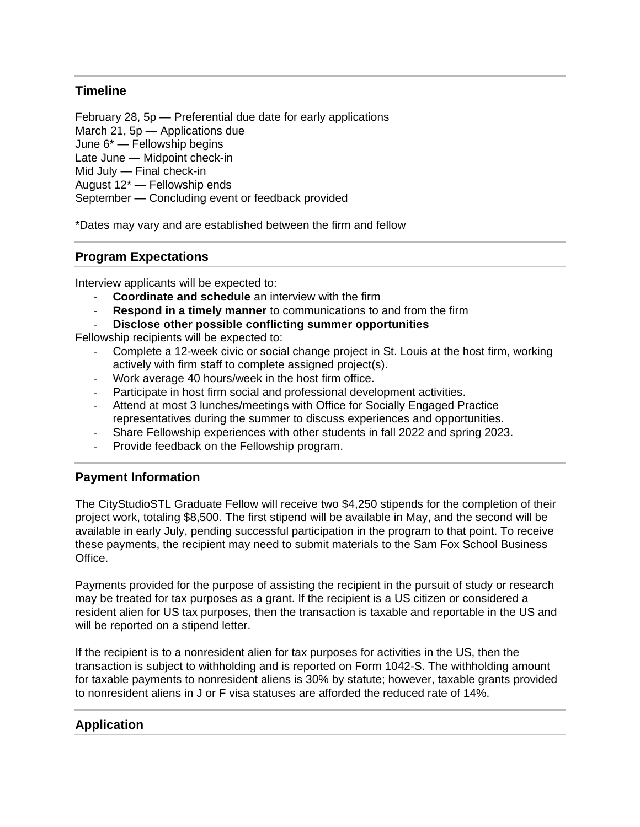# **Timeline**

February 28, 5p — Preferential due date for early applications March 21, 5p — Applications due June 6\* — Fellowship begins Late June — Midpoint check-in Mid July — Final check-in August 12\* — Fellowship ends September — Concluding event or feedback provided

\*Dates may vary and are established between the firm and fellow

# **Program Expectations**

Interview applicants will be expected to:

- ‐ **Coordinate and schedule** an interview with the firm
- ‐ **Respond in a timely manner** to communications to and from the firm
- ‐ **Disclose other possible conflicting summer opportunities**

Fellowship recipients will be expected to:

- ‐ Complete a 12-week civic or social change project in St. Louis at the host firm, working actively with firm staff to complete assigned project(s).
- ‐ Work average 40 hours/week in the host firm office.
- ‐ Participate in host firm social and professional development activities.
- ‐ Attend at most 3 lunches/meetings with Office for Socially Engaged Practice representatives during the summer to discuss experiences and opportunities.
- ‐ Share Fellowship experiences with other students in fall 2022 and spring 2023.
- ‐ Provide feedback on the Fellowship program.

#### **Payment Information**

The CityStudioSTL Graduate Fellow will receive two \$4,250 stipends for the completion of their project work, totaling \$8,500. The first stipend will be available in May, and the second will be available in early July, pending successful participation in the program to that point. To receive these payments, the recipient may need to submit materials to the Sam Fox School Business Office.

Payments provided for the purpose of assisting the recipient in the pursuit of study or research may be treated for tax purposes as a grant. If the recipient is a US citizen or considered a resident alien for US tax purposes, then the transaction is taxable and reportable in the US and will be reported on a stipend letter.

If the recipient is to a nonresident alien for tax purposes for activities in the US, then the transaction is subject to withholding and is reported on Form 1042-S. The withholding amount for taxable payments to nonresident aliens is 30% by statute; however, taxable grants provided to nonresident aliens in J or F visa statuses are afforded the reduced rate of 14%.

#### **Application**